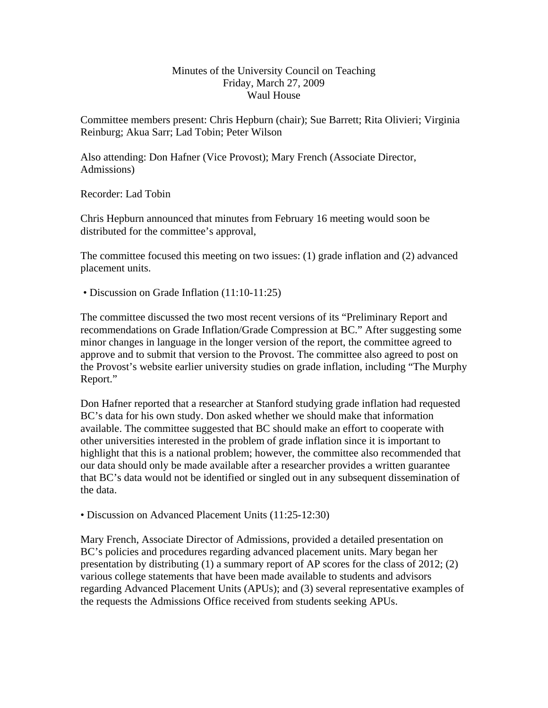## Minutes of the University Council on Teaching Friday, March 27, 2009 Waul House

Committee members present: Chris Hepburn (chair); Sue Barrett; Rita Olivieri; Virginia Reinburg; Akua Sarr; Lad Tobin; Peter Wilson

Also attending: Don Hafner (Vice Provost); Mary French (Associate Director, Admissions)

Recorder: Lad Tobin

Chris Hepburn announced that minutes from February 16 meeting would soon be distributed for the committee's approval,

The committee focused this meeting on two issues: (1) grade inflation and (2) advanced placement units.

• Discussion on Grade Inflation (11:10-11:25)

The committee discussed the two most recent versions of its "Preliminary Report and recommendations on Grade Inflation/Grade Compression at BC." After suggesting some minor changes in language in the longer version of the report, the committee agreed to approve and to submit that version to the Provost. The committee also agreed to post on the Provost's website earlier university studies on grade inflation, including "The Murphy Report."

Don Hafner reported that a researcher at Stanford studying grade inflation had requested BC's data for his own study. Don asked whether we should make that information available. The committee suggested that BC should make an effort to cooperate with other universities interested in the problem of grade inflation since it is important to highlight that this is a national problem; however, the committee also recommended that our data should only be made available after a researcher provides a written guarantee that BC's data would not be identified or singled out in any subsequent dissemination of the data.

• Discussion on Advanced Placement Units (11:25-12:30)

Mary French, Associate Director of Admissions, provided a detailed presentation on BC's policies and procedures regarding advanced placement units. Mary began her presentation by distributing (1) a summary report of AP scores for the class of 2012; (2) various college statements that have been made available to students and advisors regarding Advanced Placement Units (APUs); and (3) several representative examples of the requests the Admissions Office received from students seeking APUs.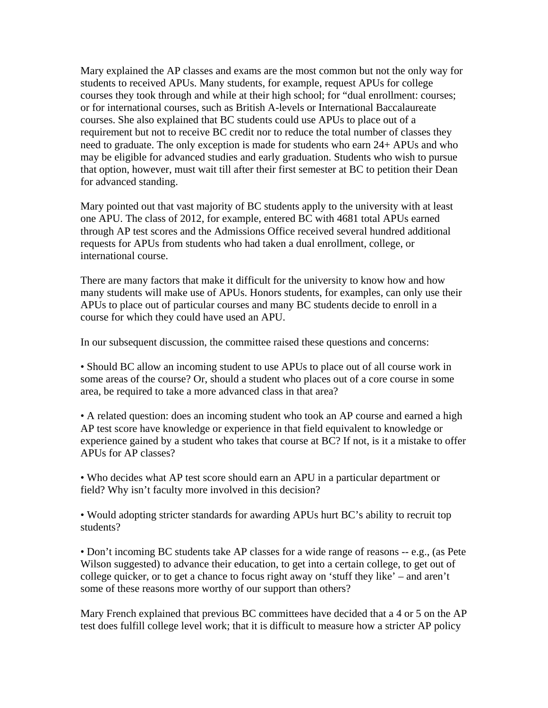Mary explained the AP classes and exams are the most common but not the only way for students to received APUs. Many students, for example, request APUs for college courses they took through and while at their high school; for "dual enrollment: courses; or for international courses, such as British A-levels or International Baccalaureate courses. She also explained that BC students could use APUs to place out of a requirement but not to receive BC credit nor to reduce the total number of classes they need to graduate. The only exception is made for students who earn 24+ APUs and who may be eligible for advanced studies and early graduation. Students who wish to pursue that option, however, must wait till after their first semester at BC to petition their Dean for advanced standing.

Mary pointed out that vast majority of BC students apply to the university with at least one APU. The class of 2012, for example, entered BC with 4681 total APUs earned through AP test scores and the Admissions Office received several hundred additional requests for APUs from students who had taken a dual enrollment, college, or international course.

There are many factors that make it difficult for the university to know how and how many students will make use of APUs. Honors students, for examples, can only use their APUs to place out of particular courses and many BC students decide to enroll in a course for which they could have used an APU.

In our subsequent discussion, the committee raised these questions and concerns:

• Should BC allow an incoming student to use APUs to place out of all course work in some areas of the course? Or, should a student who places out of a core course in some area, be required to take a more advanced class in that area?

• A related question: does an incoming student who took an AP course and earned a high AP test score have knowledge or experience in that field equivalent to knowledge or experience gained by a student who takes that course at BC? If not, is it a mistake to offer APUs for AP classes?

• Who decides what AP test score should earn an APU in a particular department or field? Why isn't faculty more involved in this decision?

• Would adopting stricter standards for awarding APUs hurt BC's ability to recruit top students?

• Don't incoming BC students take AP classes for a wide range of reasons -- e.g., (as Pete Wilson suggested) to advance their education, to get into a certain college, to get out of college quicker, or to get a chance to focus right away on 'stuff they like' – and aren't some of these reasons more worthy of our support than others?

Mary French explained that previous BC committees have decided that a 4 or 5 on the AP test does fulfill college level work; that it is difficult to measure how a stricter AP policy